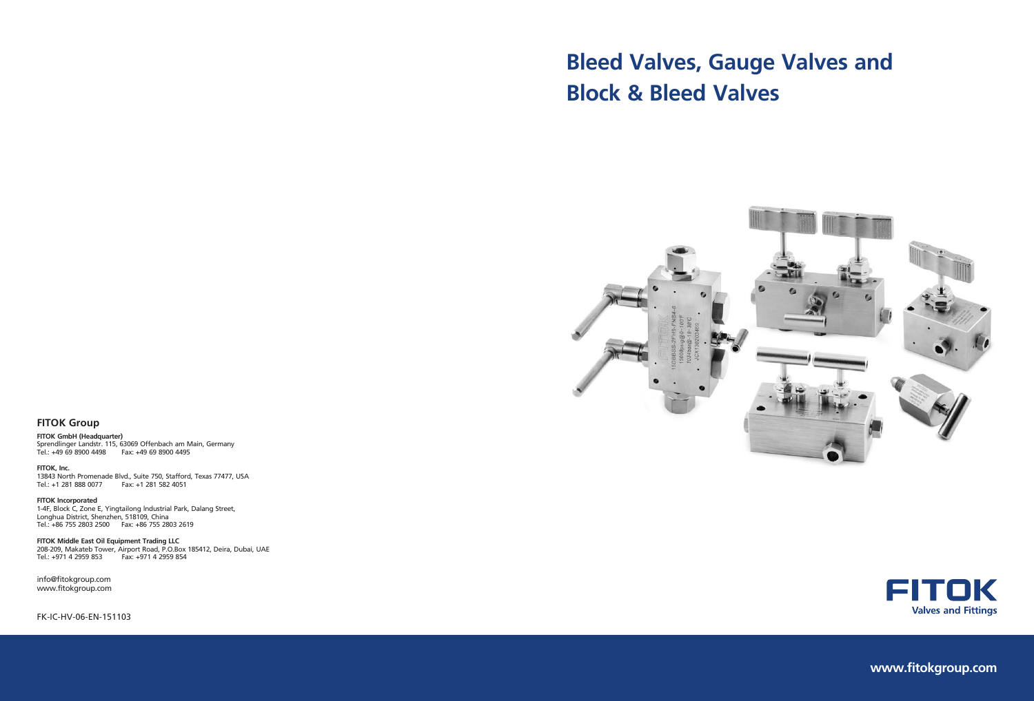# **Bleed Valves, Gauge Valves and Block & Bleed Valves**



FK-IC-HV-06-EN-151103





**www.fitokgroup.com**

#### **FITOK Group**

**FITOK GmbH (Headquarter)** Sprendlinger Landstr. 115, 63069 Offenbach am Main, Germany Tel.: +49 69 8900 4498 Fax: +49 69 8900 4495

**FITOK, Inc.** 13843 North Promenade Blvd., Suite 750, Stafford, Texas 77477, USA Tel.: +1 281 888 0077 Fax: +1 281 582 4051

**FITOK Incorporated** 1-4F, Block C, Zone E, Yingtailong lndustrial Park, Dalang Street, Longhua District, Shenzhen, 518109, China Tel.: +86 755 2803 2500 Fax: +86 755 2803 2619

**FITOK Middle East Oil Equipment Trading LLC** 208-209, Makateb Tower, Airport Road, P.O.Box 185412, Deira, Dubai, UAE Tel.: +971 4 2959 853 Fax: +971 4 2959 854

info@fitokgroup.com www.fitokgroup.com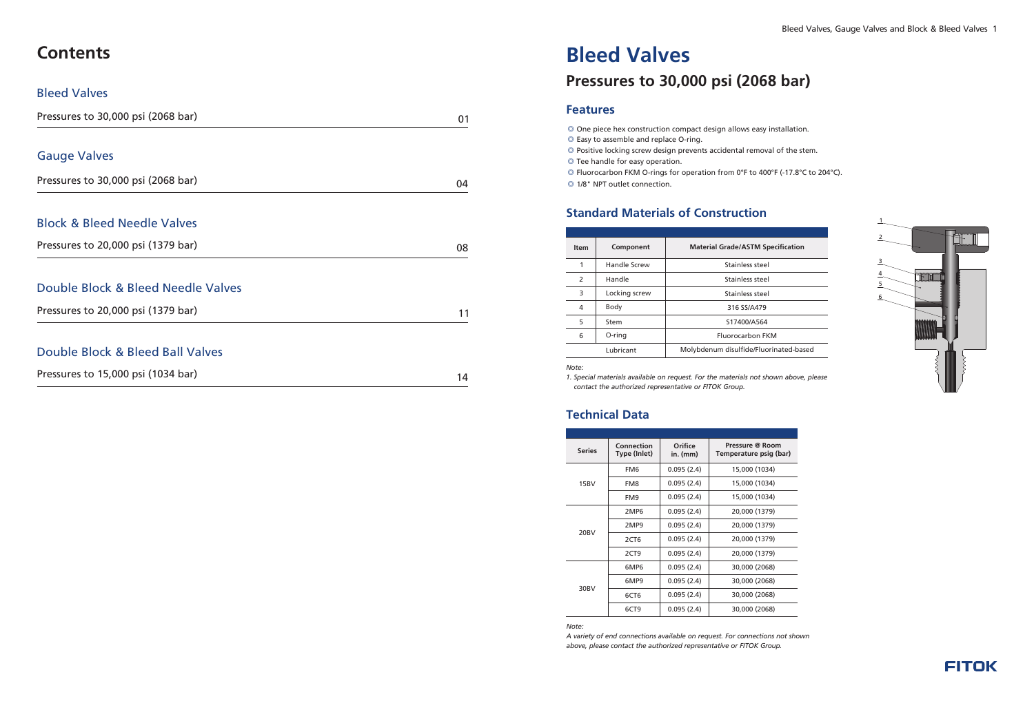- © One piece hex construction compact design allows easy installation. ◎ Easy to assemble and replace O-ring.
- Positive locking screw design prevents accidental removal of the stem. ◎
- Tee handle for easy operation. ◎
- © Fluorocarbon FKM O-rings for operation from 0°F to 400°F (-17.8°C to 204°C).

#### ◎ 1/8" NPT outlet connection.

# **Bleed Valves**

# **Pressures to 30,000 psi (2068 bar)**

| <b>Item</b>   | Component     | <b>Material Grade/ASTM Specification</b> |
|---------------|---------------|------------------------------------------|
|               | Handle Screw  | Stainless steel                          |
| $\mathcal{P}$ | Handle        | Stainless steel                          |
| 3             | Locking screw | Stainless steel                          |
| 4             | Body          | 316 SS/A479                              |
| 5             | Stem          | S17400/A564                              |
| 6             | O-ring        | Fluorocarbon FKM                         |
|               | Lubricant     | Molybdenum disulfide/Fluorinated-based   |

*A variety of end connections available on request For connections not shown .*  above, please contact the authorized representative or FITOK Group.

### **Standard Materials of Construction**

#### *Note:*

*1. Special materials available on request. For the materials not shown above, please contact the authorized representative or FITOK Group.*

#### **Technical Data**





| Pressures to 30,000 psi (2068 bar)     |    |  |  |
|----------------------------------------|----|--|--|
|                                        |    |  |  |
| <b>Gauge Valves</b>                    |    |  |  |
| Pressures to 30,000 psi (2068 bar)     | 04 |  |  |
| <b>Block &amp; Bleed Needle Valves</b> |    |  |  |
| Pressures to 20,000 psi (1379 bar)     | 08 |  |  |
| Double Block & Bleed Needle Valves     |    |  |  |
| Pressures to 20,000 psi (1379 bar)     | 11 |  |  |
| Double Block & Bleed Ball Valves       |    |  |  |
| Pressures to 15,000 psi (1034 bar)     | 14 |  |  |

| <b>Series</b> | Connection<br>Type (Inlet) | Orifice<br>$in.$ (mm) | Pressure @ Room<br>Temperature psig (b |
|---------------|----------------------------|-----------------------|----------------------------------------|
|               | FM <sub>6</sub>            | 0.095(2.4)            | 15,000 (1034)                          |
| 15BV          | FM8                        | 0.095(2.4)            | 15,000 (1034)                          |
|               | FM9                        | 0.095(2.4)            | 15,000 (1034)                          |
|               | 2MP <sub>6</sub>           | 0.095(2.4)            | 20,000 (1379)                          |
| 20BV          | 2MP9                       | 0.095(2.4)            | 20,000 (1379)                          |
|               | 2CT6                       | 0.095(2.4)            | 20,000 (1379)                          |
|               | 2CT9                       | 0.095(2.4)            | 20,000 (1379)                          |
|               | 6MP6                       | 0.095(2.4)            | 30,000 (2068)                          |
| 30BV          | 6MP9                       | 0.095(2.4)            | 30,000 (2068)                          |
|               | 6CT6                       | 0.095(2.4)            | 30,000 (2068)                          |
|               | 6CT <sub>9</sub>           | 0.095(2.4)            | 30,000 (2068)                          |
|               |                            |                       |                                        |

*Note:*



Bleed Valves, Gauge Valves and Block & Bleed Valves 1

# **Contents**

#### Bleed Valves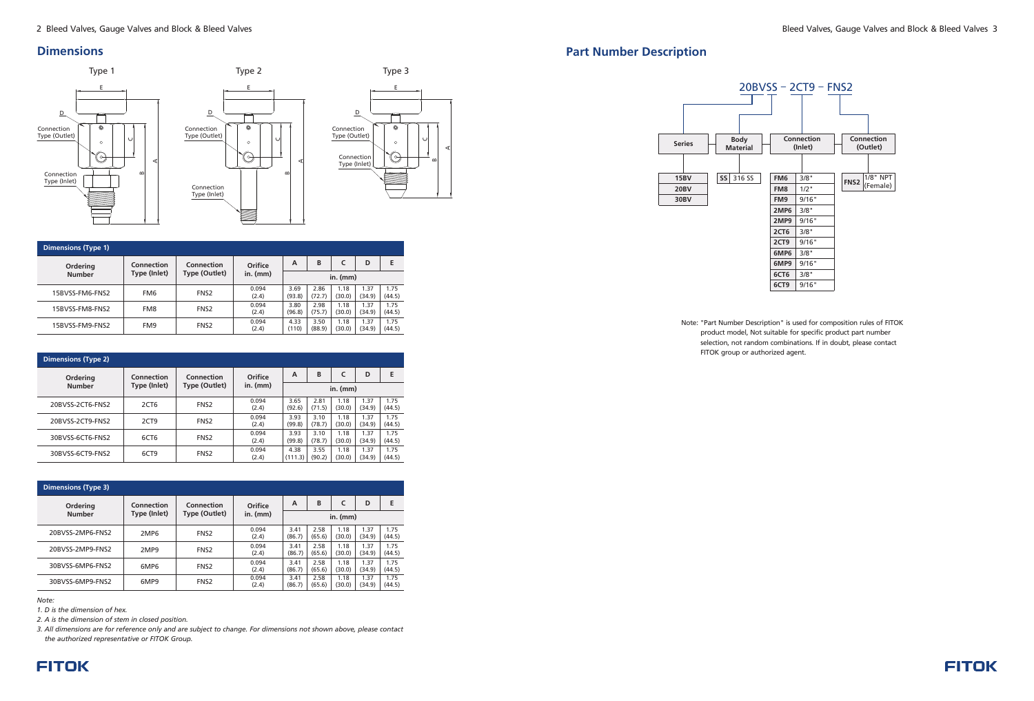#### **Dimensions**

#### *Note:*

*1. D is the dimension of hex.*

*2 A is the dimension of stem in closed position. .* 

*3 All dimensions are for reference only and are subject to change. For dimensions not shown above, please contact . the authorized representative or FITOK Group.*

## **FITOK**



| <b>Dimensions (Type 1)</b> |                                                                                |                  |                |                |                |                |                |                |
|----------------------------|--------------------------------------------------------------------------------|------------------|----------------|----------------|----------------|----------------|----------------|----------------|
| Ordering                   | <b>Connection</b><br><b>Connection</b><br>Type (Inlet)<br><b>Type (Outlet)</b> |                  | Orifice        | A              | B              |                | D              | Е              |
| <b>Number</b>              |                                                                                |                  | in. $(mm)$     | in. $(mm)$     |                |                |                |                |
| 15BVSS-FM6-FNS2            | FM <sub>6</sub>                                                                | FNS <sub>2</sub> | 0.094<br>(2.4) | 3.69<br>(93.8) | 2.86<br>(72.7) | 1.18<br>(30.0) | 1.37<br>(34.9) | 1.75<br>(44.5) |
| 15BVSS-FM8-FNS2            | FM8                                                                            | FNS <sub>2</sub> | 0.094<br>(2.4) | 3.80<br>(96.8) | 2.98<br>(75.7) | 1.18<br>(30.0) | 1.37<br>(34.9) | 1.75<br>(44.5) |
| 15BVSS-FM9-FNS2            | FM9                                                                            | FNS <sub>2</sub> | 0.094<br>(2.4) | 4.33<br>(110)  | 3.50<br>(88.9) | 1.18<br>(30.0) | 1.37<br>(34.9) | 1.75<br>(44.5) |

## **Part Number Description**

| <b>Dimensions (Type 2)</b> |                                                                                                     |                  |                |                 |                |                |                |                |  |  |
|----------------------------|-----------------------------------------------------------------------------------------------------|------------------|----------------|-----------------|----------------|----------------|----------------|----------------|--|--|
| Ordering                   | Connection<br>Orifice<br>Connection<br>Type (Inlet)<br>Type (Outlet)<br>$in.$ (mm)<br><b>Number</b> |                  | А              | B               |                | D              | Е              |                |  |  |
|                            |                                                                                                     |                  |                | in. $(mm)$      |                |                |                |                |  |  |
| 20BVSS-2CT6-FNS2           | 2CT <sub>6</sub>                                                                                    | FNS <sub>2</sub> | 0.094<br>(2.4) | 3.65<br>(92.6)  | 2.81<br>(71.5) | 1.18<br>(30.0) | 1.37<br>(34.9) | 1.75<br>(44.5) |  |  |
| 20BVSS-2CT9-FNS2           | 2CT9                                                                                                | FNS <sub>2</sub> | 0.094<br>(2.4) | 3.93<br>(99.8)  | 3.10<br>(78.7) | 1.18<br>(30.0) | 1.37<br>(34.9) | 1.75<br>(44.5) |  |  |
| 30BVSS-6CT6-FNS2           | 6CT <sub>6</sub>                                                                                    | FNS <sub>2</sub> | 0.094<br>(2.4) | 3.93<br>(99.8)  | 3.10<br>(78.7) | 1.18<br>(30.0) | 1.37<br>(34.9) | 1.75<br>(44.5) |  |  |
| 30BVSS-6CT9-FNS2           | 6CT <sub>9</sub>                                                                                    | FNS <sub>2</sub> | 0.094<br>(2.4) | 4.38<br>(111.3) | 3.55<br>(90.2) | 1.18<br>(30.0) | 1.37<br>(34.9) | 1.75<br>(44.5) |  |  |

Note: "Part Number Description" is used for composition rules of FITOK product model, Not suitable for specific product part number selection, not random combinations. If in doubt, please contact FITOK group or authorized agent.



| <b>Dimensions (Type 3)</b>           |                               |                  |                |                |                |                |                |                |  |  |
|--------------------------------------|-------------------------------|------------------|----------------|----------------|----------------|----------------|----------------|----------------|--|--|
| Connection<br>Connection<br>Ordering |                               | Orifice          | A              | B              | c              | D              | Е              |                |  |  |
| <b>Number</b>                        | Type (Inlet)<br>Type (Outlet) |                  | in. $(mm)$     | in. $(mm)$     |                |                |                |                |  |  |
| 20BVSS-2MP6-FNS2                     | 2MP <sub>6</sub>              | FNS <sub>2</sub> | 0.094<br>(2.4) | 3.41<br>(86.7) | 2.58<br>(65.6) | 1.18<br>(30.0) | 1.37<br>(34.9) | 1.75<br>(44.5) |  |  |
| 20BVSS-2MP9-FNS2                     | 2MP9                          | FNS <sub>2</sub> | 0.094<br>(2.4) | 3.41<br>(86.7) | 2.58<br>(65.6) | 1.18<br>(30.0) | 1.37<br>(34.9) | 1.75<br>(44.5) |  |  |
| 30BVSS-6MP6-FNS2                     | 6MP <sub>6</sub>              | FNS <sub>2</sub> | 0.094<br>(2.4) | 3.41<br>(86.7) | 2.58<br>(65.6) | 1.18<br>(30.0) | 1.37<br>(34.9) | 1.75<br>(44.5) |  |  |
| 30BVSS-6MP9-FNS2                     | 6MP9                          | FNS <sub>2</sub> | 0.094<br>(2.4) | 3.41<br>(86.7) | 2.58<br>(65.6) | 1.18<br>(30.0) | 1.37<br>(34.9) | 1.75<br>(44.5) |  |  |

|                                                           | .                            |   |
|-----------------------------------------------------------|------------------------------|---|
|                                                           | E                            |   |
| Connection<br>Type (Outlet)<br>Connection<br>Type (Inlet) | Ó<br>$\circ$<br>$\mathbf{r}$ | ∢ |
|                                                           |                              |   |

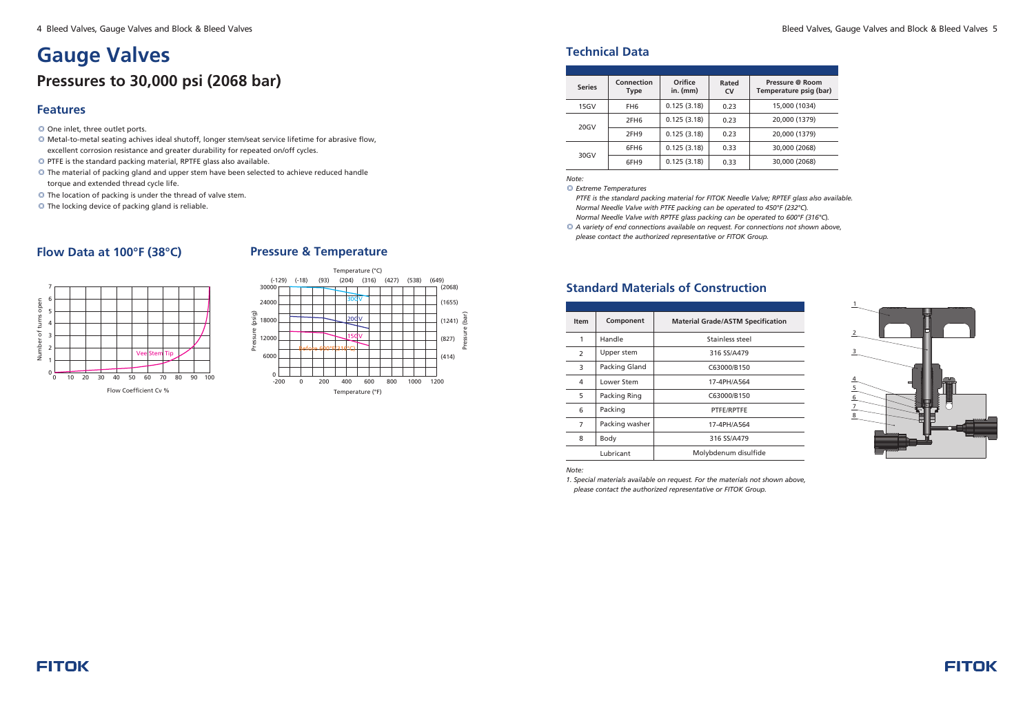- © One inlet, three outlet ports.
- ◎ Metal-to-metal seating achives ideal shutoff, longer stem/seat service lifetime for abrasive flow, excellent corrosion resistance and greater durability for repeated on/off cycles.
- PTFE is the standard packing material, RPTFE glass also available. ◎
- © The material of packing gland and upper stem have been selected to achieve reduced handle torque and extended thread cycle life.
- The location of packing is under the thread of valve stem. ◎
- ◎ The locking device of packing gland is reliable.

*PTFE is the standard packing material for FITOK Needle Valve; RPTEF glass also available . Normal Needle Valve with PTFE packing can be operated to 450°F (232°C). Normal Needle Valve with RPTFE glass packing can be operated to 600°F (316°C).* 

# **Gauge Valves Pressures to 30,000 psi (2068 bar)**

#### **Technical Data**

#### *Note:*

*Extreme Temperatures* ◎ 

◎ *A variety of end connections available on request. For connections not shown above*,  *please contact the authorized representative or FITOK Group.*

#### Bleed Valves, Gauge Valves and Block & Bleed Valves 5

| <b>Series</b> | Connection<br>Type | Orifice<br>in. $(mm)$ | Rated<br><b>CV</b> | Pressure @ Room<br>Temperature psig (bar) |
|---------------|--------------------|-----------------------|--------------------|-------------------------------------------|
| 15GV          | FH <sub>6</sub>    | 0.125(3.18)           | 0.23               | 15,000 (1034)                             |
| 20GV          | 2FH <sub>6</sub>   | 0.125(3.18)           | 0.23               | 20,000 (1379)                             |
|               | 2FH <sub>9</sub>   | 0.125(3.18)           | 0.23               | 20,000 (1379)                             |
|               | 6FH6               | 0.125(3.18)           | 0.33               | 30,000 (2068)                             |
| 30GV          | 6FH9               | 0.125(3.18)           | 0.33               | 30,000 (2068)                             |



## **Flow Data at 100°F (38°C)**

| <b>Item</b> | Component      | <b>Material Grade/ASTM Specification</b> |
|-------------|----------------|------------------------------------------|
| 1           | Handle         | Stainless steel                          |
| 2           | Upper stem     | 316 SS/A479                              |
| 3           | Packing Gland  | C63000/B150                              |
| 4           | Lower Stem     | 17-4PH/A564                              |
| 5           | Packing Ring   | C63000/B150                              |
| 6           | Packing        | PTFE/RPTFE                               |
| 7           | Packing washer | 17-4PH/A564                              |
| 8           | Body           | 316 SS/A479                              |
|             | Lubricant      | Molybdenum disulfide                     |
|             |                |                                          |

#### **Standard Materials of Construction**

*Note:*

*1. Special materials available on request. For the materials not shown above, please contact the authorized representative or FITOK Group.*





#### **Pressure & Temperature**

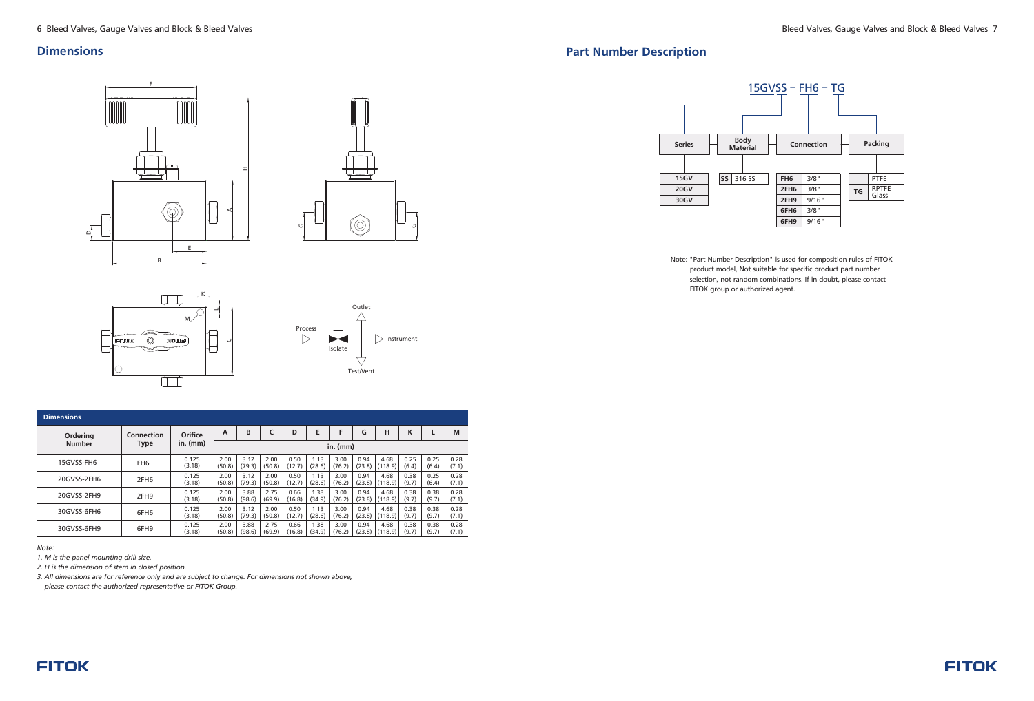#### **Dimensions**

| <b>Dimensions</b> |                  |                 |                |                |                |                |                |                |                |                 |               |               |               |
|-------------------|------------------|-----------------|----------------|----------------|----------------|----------------|----------------|----------------|----------------|-----------------|---------------|---------------|---------------|
| Ordering          | Connection       | Orifice         | A              | B              |                | D              | Е              |                | G              | н               | K             |               | M             |
| <b>Number</b>     | <b>Type</b>      | $in.$ (mm)      | in. $(mm)$     |                |                |                |                |                |                |                 |               |               |               |
| 15GVSS-FH6        | FH <sub>6</sub>  | 0.125<br>(3.18) | 2.00<br>(50.8) | 3.12<br>(79.3) | 2.00<br>(50.8) | 0.50<br>(12.7) | 1.13<br>(28.6) | 3.00<br>(76.2) | 0.94<br>(23.8) | 4.68<br>(118.9) | 0.25<br>(6.4) | 0.25<br>(6.4) | 0.28<br>(7.1) |
| 20GVSS-2FH6       | 2FH <sub>6</sub> | 0.125<br>(3.18) | 2.00<br>(50.8) | 3.12<br>(79.3) | 2.00<br>(50.8) | 0.50<br>(12.7) | 1.13<br>(28.6) | 3.00<br>(76.2) | 0.94<br>(23.8) | 4.68<br>(118.9) | 0.38<br>(9.7) | 0.25<br>(6.4) | 0.28<br>(7.1) |
| 20GVSS-2FH9       | 2FH9             | 0.125<br>(3.18) | 2.00<br>(50.8) | 3.88<br>(98.6) | 2.75<br>(69.9) | 0.66<br>(16.8) | 1.38<br>(34.9) | 3.00<br>(76.2) | 0.94<br>(23.8) | 4.68<br>(118.9) | 0.38<br>(9.7) | 0.38<br>(9.7) | 0.28<br>(7.1) |
| 30GVSS-6FH6       | 6FH <sub>6</sub> | 0.125<br>(3.18) | 2.00<br>(50.8) | 3.12<br>(79.3) | 2.00<br>(50.8) | 0.50<br>(12.7) | 1.13<br>(28.6) | 3.00<br>(76.2) | 0.94<br>(23.8) | 4.68<br>(118.9) | 0.38<br>(9.7) | 0.38<br>(9.7) | 0.28<br>(7.1) |
| 30GVSS-6FH9       | 6FH9             | 0.125<br>(3.18) | 2.00<br>(50.8) | 3.88<br>(98.6) | 2.75<br>(69.9) | 0.66<br>(16.8) | 1.38<br>(34.9) | 3.00<br>(76.2) | 0.94<br>(23.8) | 4.68<br>(118.9) | 0.38<br>(9.7) | 0.38<br>(9.7) | 0.28<br>(7.1) |

*Note:*

*1. M is the panel mounting drill size.*

*2. H is the dimension of stem in closed position.*

*3. All dimensions are for reference only and are subject to change. For dimensions not shown above,* 

 *please contact the authorized representative or FITOK Group.*





#### **Part Number Description**

Note: "Part Number Description" is used for composition rules of FITOK product model, Not suitable for specific product part number selection, not random combinations. If in doubt, please contact FITOK group or authorized agent.





# F H $\circledcirc$ A╟═┥  $\overline{a}$  $\mathsf{q}_\mathsf{L}$ E B



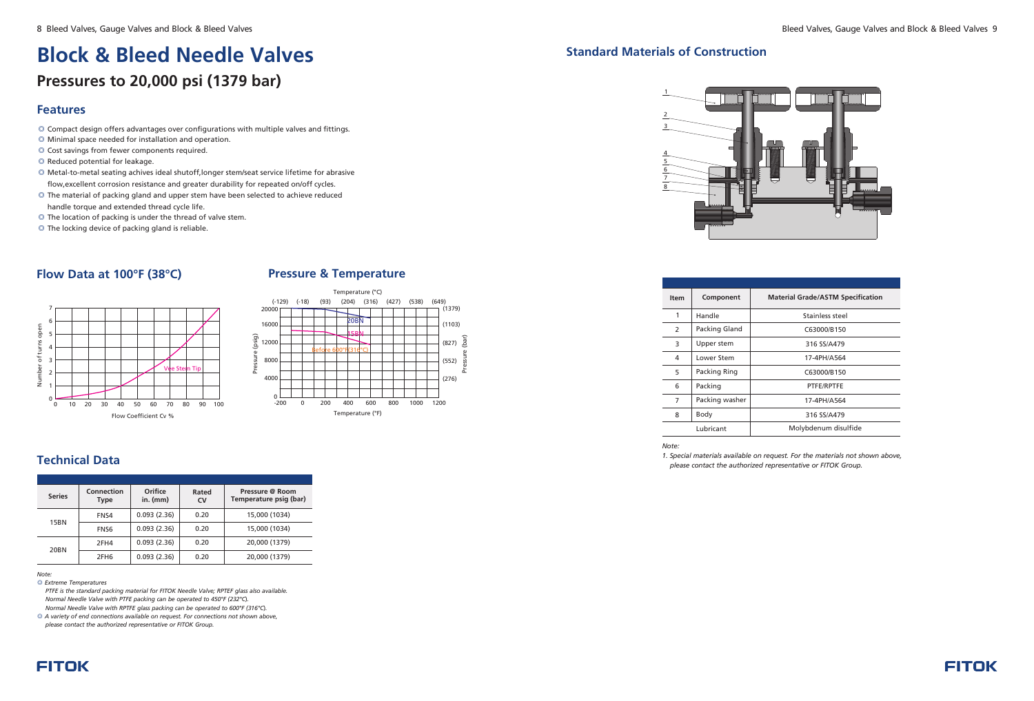- © Compact design offers advantages over configurations with multiple valves and fittings.
- ◎ Minimal space needed for installation and operation.
- © Cost savings from fewer components required.
- Reduced potential for leakage. ◎
- Metal-to-metal seating achives ideal shutoff,longer stem/seat service lifetime for abrasive ◎ flow,excellent corrosion resistance and greater durability for repeated on/off cycles.
- ◎ The material of packing gland and upper stem have been selected to achieve reduced handle torque and extended thread cycle life.
- ◎ The location of packing is under the thread of valve stem.
- The locking device of packing gland is reliable. ◎

# **Block & Bleed Needle Valves Pressures to 20,000 psi (1379 bar)**

*PTFE is the standard packing material for FITOK Needle Valve; RPTEF glass also available . Normal Needle Valve with PTFE packing can be operated to 450°F (232°C). Normal Needle Valve with RPTFE glass packing can be operated to 600°F (316°C).* 

#### **Standard Materials of Construction**

| <b>Item</b> | Component                    | <b>Material Grade/ASTM Specification</b> |  |  |
|-------------|------------------------------|------------------------------------------|--|--|
| 1           | Handle                       | Stainless steel                          |  |  |
| 2           | Packing Gland<br>C63000/B150 |                                          |  |  |
| 3           | Upper stem                   | 316 SS/A479                              |  |  |
| 4           | Lower Stem                   | 17-4PH/A564                              |  |  |
| 5           | Packing Ring                 | C63000/B150                              |  |  |
| 6           | Packing                      | PTFE/RPTFE                               |  |  |
| 7           | Packing washer               | 17-4PH/A564                              |  |  |
| 8           | Body                         | 316 SS/A479                              |  |  |
|             | Lubricant                    | Molybdenum disulfide                     |  |  |
|             |                              |                                          |  |  |

#### *Note:*

*1. Special materials available on request. For the materials not shown above, please contact the authorized representative or FITOK Group.*



## **Technical Data**

#### *Note:*

*Extreme Temperatures* ◎ 

| <b>Series</b> | Connection<br><b>Type</b> | Orifice<br>$in.$ (mm) | Rated<br><b>CV</b> | Pressure @ Room<br>Temperature psig (bar) |
|---------------|---------------------------|-----------------------|--------------------|-------------------------------------------|
|               | FNS4                      | 0.093(2.36)           | 0.20               | 15,000 (1034)                             |
| 15BN          | FNS6                      | 0.093(2.36)           | 0.20               | 15,000 (1034)                             |
|               | 2FH4                      | 0.093(2.36)           | 0.20               | 20,000 (1379)                             |
| 20BN          | 2FH <sub>6</sub>          | 0.093(2.36)           | 0.20               | 20,000 (1379)                             |

◎ *A variety of end connections available on request. For connections not shown above*,  *please contact the authorized representative or FITOK Group.*





## **Flow Data at 100°F (38°C)**



#### **Pressure & Temperature**

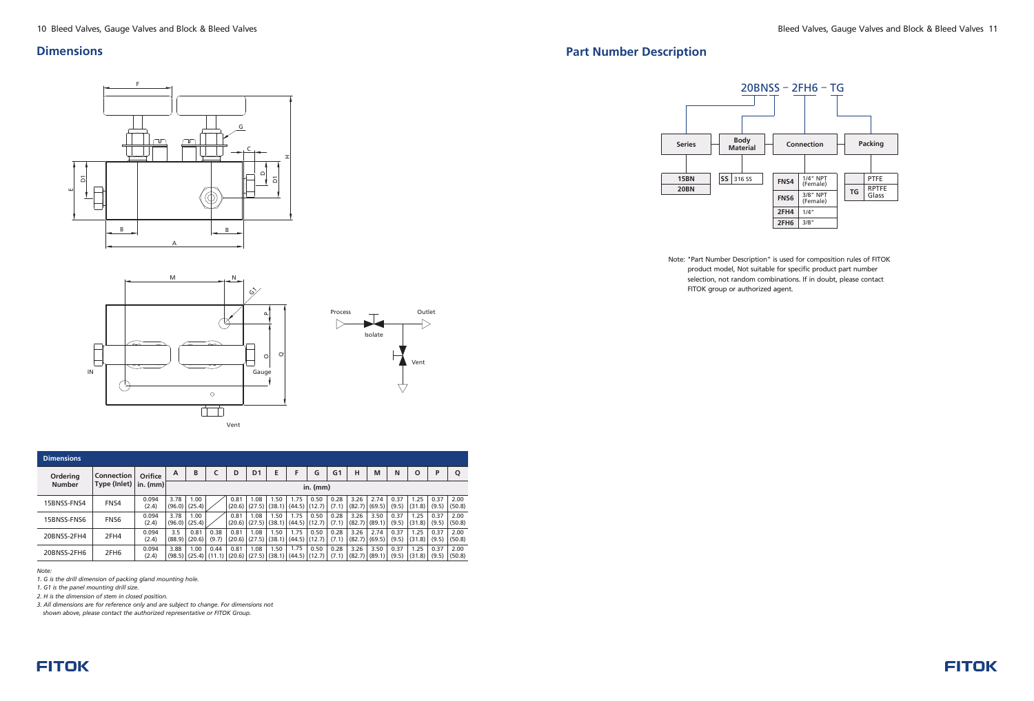*Note:*

**FITOK** 

*1. G is the drill dimension of packing gland mounting hole.*

*1. G1 is the panel mounting drill size.*

*2. H is the dimension of stem in closed position.*

*3. All dimensions are for reference only and are subject to change. For dimensions not* 

*shown above, please contact the authorized representative or FITOK Group.*

| <b>Dimensions</b> |                   |                |                |                         |               |      |                           |                |                                                                                 |                         |                |      |                           |               |                |               |                |
|-------------------|-------------------|----------------|----------------|-------------------------|---------------|------|---------------------------|----------------|---------------------------------------------------------------------------------|-------------------------|----------------|------|---------------------------|---------------|----------------|---------------|----------------|
| <b>Ordering</b>   | <b>Connection</b> | <b>Orifice</b> | A              | B                       |               | D    | D <sub>1</sub>            | Е              | F                                                                               | G                       | G <sub>1</sub> | н    | M                         | N             | $\Omega$       | P             | О              |
| <b>Number</b>     | Type (Inlet)      | $in.$ (mm)     | $in.$ (mm)     |                         |               |      |                           |                |                                                                                 |                         |                |      |                           |               |                |               |                |
| 15BNSS-FNS4       | FNS4              | 0.094<br>(2.4) | 3.78<br>(96.0) | 1.00<br>(25.4)          |               | 0.81 | 1.08<br>$(20.6)$ $(27.5)$ | 1.50<br>(38.1) | 1.75                                                                            | 0.50<br>$(44.5)$ (12.7) | 0.28<br>(7.1)  | 3.26 | 2.74<br>$(82.7)$ (69.5)   | 0.37<br>(9.5) | 1.25<br>(31.8) | 0.37<br>(9.5) | 2.00<br>(50.8) |
| 15BNSS-FNS6       | FNS <sub>6</sub>  | 0.094<br>(2.4) | 3.78           | 1.00<br>$(96.0)$ (25.4) |               | 0.81 | 1.08                      | 1.50           | 1.75<br>$(20.6)$ $(27.5)$ $(38.1)$ $(44.5)$ $(12.7)$                            | 0.50                    | 0.28<br>(7.1)  | 3.26 | 3.50<br>$(82.7)$ $(89.1)$ | 0.37<br>(9.5) | 1.25<br>(31.8) | 0.37<br>(9.5) | 2.00<br>(50.8) |
| 20BNSS-2FH4       | 2FH4              | 0.094<br>(2.4) | 3.5<br>(88.9)  | 0.81<br>(20.6)          | 0.38<br>(9.7) | 0.81 | 1.08<br>$(20.6)$ $(27.5)$ | 1.50           | 1.75<br>$(38.1)$ $(44.5)$ $(12.7)$                                              | 0.50                    | 0.28<br>(7.1)  | 3.26 | 2.74<br>$(82.7)$ (69.5)   | 0.37<br>(9.5) | 1.25<br>(31.8) | 0.37<br>(9.5) | 2.00<br>(50.8) |
| 20BNSS-2FH6       | 2FH <sub>6</sub>  | 0.094<br>(2.4) | 3.88           | 1.00                    | 0.44          | 0.81 | 1.08                      | 1.50           | 1.75<br>$(98.5)   (25.4)   (11.1)   (20.6)   (27.5)   (38.1)   (44.5)   (12.7)$ | 0.50                    | 0.28<br>(7.1)  | 3.26 | 3.50<br>$(82.7)$ $(89.1)$ | 0.37<br>(9.5) | 1.25<br>(31.8) | 0.37<br>(9.5) | 2.00<br>(50.8) |





Note: "Part Number Description" is used for composition rules of FITOK product model, Not suitable for specific product part number selection, not random combinations. If in doubt, please contact FITOK group or authorized agent.



#### **Dimensions**





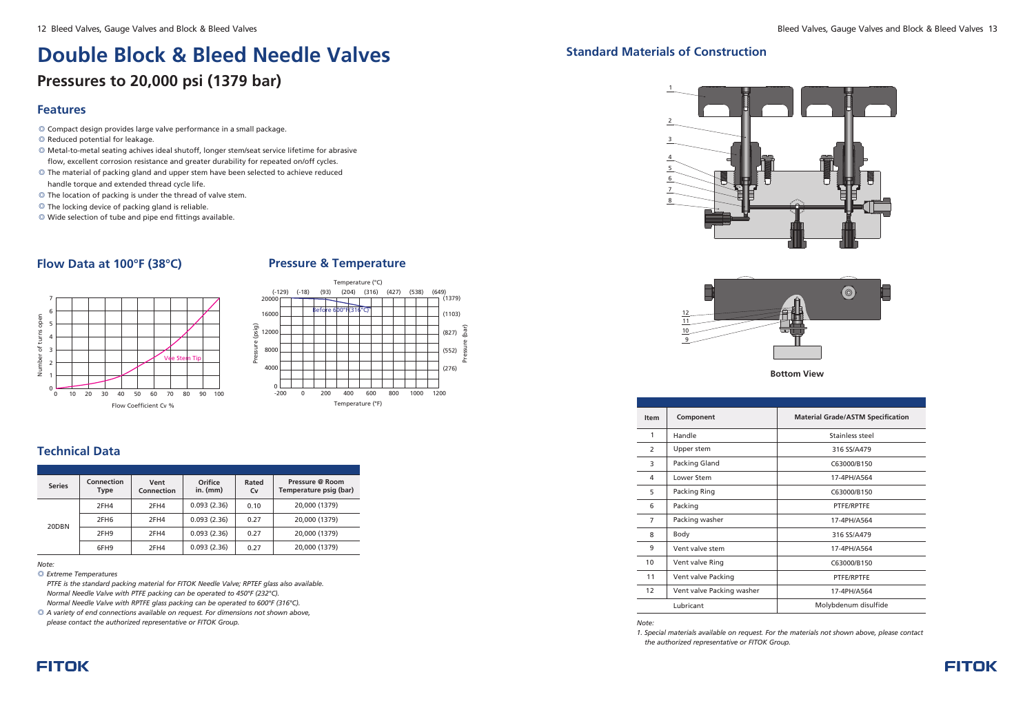- © Compact design provides large valve performance in a small package.
- ◎ Reduced potential for leakage.
- Metal-to-metal seating achives ideal shutoff, longer stem/seat service lifetime for abrasive ◎ flow, excellent corrosion resistance and greater durability for repeated on/off cycles.
- © The material of packing gland and upper stem have been selected to achieve reduced handle torque and extended thread cycle life.
- ◎ The location of packing is under the thread of valve stem.
- ◎ The locking device of packing gland is reliable.
- ◎ Wide selection of tube and pipe end fittings available.

# **Double Block & Bleed Needle Valves Pressures to 20,000 psi (1379 bar)**

## **Flow Data at 100°F (38°C)**



### **Pressure & Temperature**



#### **Technical Data**

*Note:*

| <b>Series</b> | Connection<br>Type | Vent<br>Connection | Orifice<br>in. $(mm)$ | Rated<br>Cv | Pressure @ Room<br>Temperature psig (bar) |
|---------------|--------------------|--------------------|-----------------------|-------------|-------------------------------------------|
|               | 2FH4               | 2FH4               | 0.093(2.36)           | 0.10        | 20,000 (1379)                             |
| 20DBN         | 2FH <sub>6</sub>   | 2FH4               | 0.093(2.36)           | 0.27        | 20,000 (1379)                             |
|               | 2FH <sub>9</sub>   | 2FH4               | 0.093(2.36)           | 0.27        | 20,000 (1379)                             |
|               | 6FH9               | 2FH4               | 0.093(2.36)           | 0.27        | 20,000 (1379)                             |

*Extreme Temperatures* ◎

*PTFE is the standard packing material for FITOK Needle Valve; RPTEF glass also available. Normal Needle Valve with PTFE packing can be operated to 450°F (232°C). Normal Needle Valve with RPTFE glass packing can be operated to 600°F (316 °C).*

◎ *A variety of end connections available on request. For dimensions not shown above, please contact the authorized representative or FITOK Group.*

## **Standard Materials of Construction**

#### *Note:*

*1. Special materials available on request. For the materials not shown above, please contact the authorized representative or FITOK Group.*





| <b>Item</b>    | Component                 | <b>Material Grade/ASTM Specification</b> |
|----------------|---------------------------|------------------------------------------|
| 1              | Handle                    | Stainless steel                          |
| $\mathcal{P}$  | Upper stem                | 316 SS/A479                              |
| 3              | Packing Gland             | C63000/B150                              |
| 4              | Lower Stem                | 17-4PH/A564                              |
| 5              | Packing Ring              | C63000/B150                              |
| 6              | Packing                   | PTFE/RPTFE                               |
| $\overline{7}$ | Packing washer            | 17-4PH/A564                              |
| 8              | Body                      | 316 SS/A479                              |
| 9              | Vent valve stem           | 17-4PH/A564                              |
| 10             | Vent valve Ring           | C63000/B150                              |
| 11             | Vent valve Packing        | PTFE/RPTFE                               |
| 12             | Vent valve Packing washer | 17-4PH/A564                              |
|                | Lubricant                 | Molybdenum disulfide                     |
|                |                           |                                          |

## 2 1 3 4 5 6 7 8



#### **Bottom View**

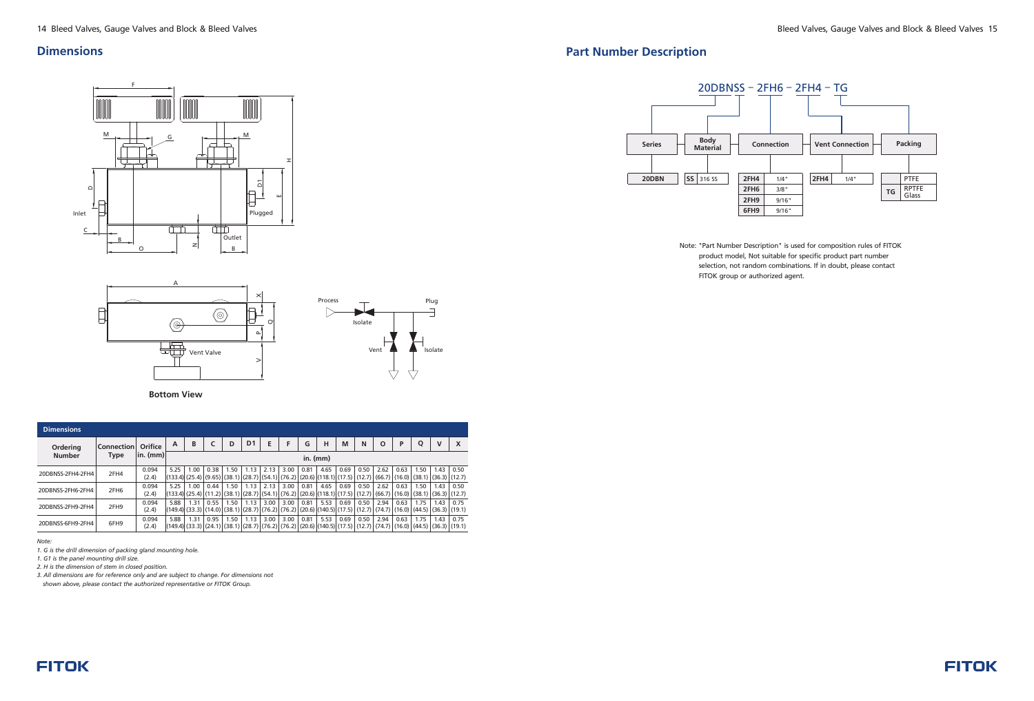#### **Dimensions**

| <b>Dimensions</b> |                   |                |                                        |      |      |      |                |                                                                                                                                                                                                                                                                                                                                                              |      |      |                                                                    |      |      |      |      |                |                           |                           |
|-------------------|-------------------|----------------|----------------------------------------|------|------|------|----------------|--------------------------------------------------------------------------------------------------------------------------------------------------------------------------------------------------------------------------------------------------------------------------------------------------------------------------------------------------------------|------|------|--------------------------------------------------------------------|------|------|------|------|----------------|---------------------------|---------------------------|
| <b>Ordering</b>   | <b>Connection</b> | Orifice        | $\overline{A}$                         | B    |      | D    | D <sub>1</sub> | E                                                                                                                                                                                                                                                                                                                                                            | F    | G    | н                                                                  | M    | N    | O    | P    | Q              | $\mathbf v$               | X                         |
| <b>Number</b>     | <b>Type</b>       |                | $\vert$ in. (mm) $\vert$<br>$in.$ (mm) |      |      |      |                |                                                                                                                                                                                                                                                                                                                                                              |      |      |                                                                    |      |      |      |      |                |                           |                           |
| 20DBNSS-2FH4-2FH4 | 2FH4              | 0.094<br>(2.4) | 5.25<br>(133.4) (25.4) (9.65)          | 1.00 | 0.38 | 1.50 | 1.13           | 2.13<br>$ (38.1) (28.7) (54.1) (76.2) (20.6) (118.1) (17.5) (12.7) (66.7) (16.0) (38.1) $                                                                                                                                                                                                                                                                    | 3.00 | 0.81 | 4.65                                                               | 0.69 | 0.50 | 2.62 | 0.63 | 1.50           | 1.43                      | 0.50<br>$(36.3)$ $(12.7)$ |
| 20DBNSS-2FH6-2FH4 | 2FH <sub>6</sub>  | 0.094<br>(2.4) | 5.25                                   | 1.00 | 0.44 | 1.50 | 1.13           | 2.13<br>$\left \left(133.4\right)\right \left(25.4\right)\right \left(11.2\right)\left \left(38.1\right)\right \left(28.7\right)\left \left(54.1\right)\right \left(76.2\right)\left \left(20.6\right)\right \left(118.1\right)\left \left(17.5\right)\right \left(12.7\right)\left \left(66.7\right)\right \left(16.0\right)\left \left(38.1\right)\right $ | 3.00 | 0.81 | 4.65                                                               | 0.69 | 0.50 | 2.62 | 0.63 | 1.50           | 1.43                      | 0.50<br>$(36.3)$ (12.7)   |
| 20DBNSS-2FH9-2FH4 | 2FH9              | 0.094<br>(2.4) | 5.88<br>(149.4) (33.3) (14.0)          | 1.31 | 0.55 | 1.50 | 1.13           | 3.00<br> (38.1) (28.7) (76.2) (76.2)                                                                                                                                                                                                                                                                                                                         | 3.00 | 0.81 | 5.53<br>$(20.6)$ $(140.5)$ $(17.5)$ $(12.7)$ $(74.7)$ $(16.0)$ $($ | 0.69 | 0.50 | 2.94 | 0.63 | 1.75<br>(44.5) | 1.43                      | 0.75<br>$(36.3)$ (19.1)   |
| 20DBNSS-6FH9-2FH4 | 6FH9              | 0.094<br>(2.4) | 5.88                                   | 1.31 | 0.95 | 1.50 | 1.13           | 3.00<br>$(149.4)$ $(33.3)$ $(24.1)$ $(38.1)$ $(28.7)$ $(76.2)$ $(76.2)$ $(20.6)$ $(140.5)$ $(17.5)$ $(17.7)$ $(74.7)$ $(16.0)$ $(44.5)$                                                                                                                                                                                                                      | 3.00 | 0.81 | 5.53                                                               | 0.69 | 0.50 | 2.94 | 0.63 | 1.75           | 1.43<br>$(36.3)$ $(19.1)$ | 0.75                      |

 $\times$ 

 $\sim$ 

┾═

 $^\mathrm{o}$ 

 $\,>$ 

*Note:*

*1. G is the drill dimension of packing gland mounting hole.*

*1. G1 is the panel mounting drill size.*

*2. H is the dimension of stem in closed position.*

 $\begin{array}{c} \hline \end{array}$ 

#### F M M G HD1 DIA. EЮ Inlet Plugged तेजो 曲  $\overline{C}$ Outlet B  $\vert z \vert$  $O$  B

*3. All dimensions are for reference only and are subject to change. For dimensions not* 

*shown above, please contact the authorized representative or FITOK Group.*

# **Part Number Description**



Note: "Part Number Description" is used for composition rules of FITOK product model, Not suitable for specific product part number selection, not random combinations. If in doubt, please contact FITOK group or authorized agent.





A

 $\circledcirc$ 

 $\overline{\mathbb{H}}$ 

Vent Valve

 $\circledcirc$ 

**Bottom View**

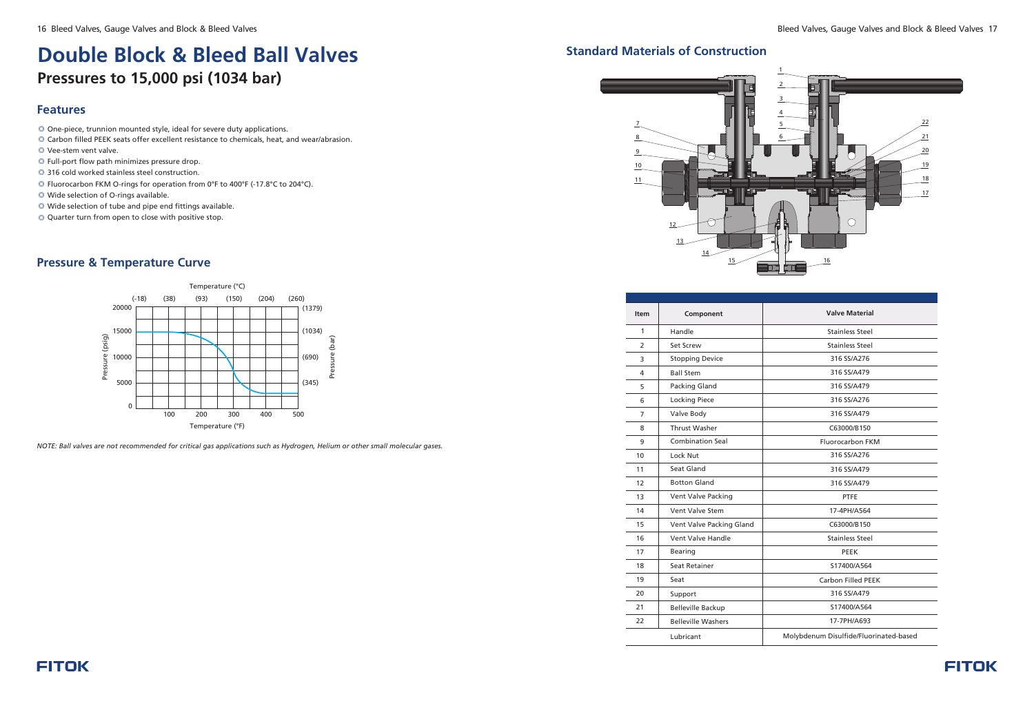# **Double Block & Bleed Ball Valves Pressures to 15,000 psi (1034 bar)**

#### **Features**

## **Pressure & Temperature Curve**

*NOTE: Ball valves are not recommended for critical gas applications such as Hydrogen, Helium or other small molecular gases.*

- One-piece, trunnion mounted style, ideal for severe duty applications. ◎
- ◎ Carbon filled PEEK seats offer excellent resistance to chemicals, heat, and wear/abrasion.
- Vee-stem vent valve. ◎
- Full-port flow path minimizes pressure drop. ◎
- 316 cold worked stainless steel construction. ◎
- © Fluorocarbon FKM O-rings for operation from 0°F to 400°F (-17.8°C to 204°C).
- Wide selection of O-rings available. ◎
- Wide selection of tube and pipe end fittings available. ◎
- Quarter turn from open to close with positive stop. ◎



# **Standard Materials of Construction**



| <b>Item</b> | Component                 | <b>Valve Material</b>                  |
|-------------|---------------------------|----------------------------------------|
| 1           | Handle                    | <b>Stainless Steel</b>                 |
| 2           | Set Screw                 | <b>Stainless Steel</b>                 |
| 3           | <b>Stopping Device</b>    | 316 SS/A276                            |
| 4           | <b>Ball Stem</b>          | 316 SS/A479                            |
| 5           | Packing Gland             | 316 SS/A479                            |
| 6           | <b>Locking Piece</b>      | 316 SS/A276                            |
| 7           | Valve Body                | 316 SS/A479                            |
| 8           | <b>Thrust Washer</b>      | C63000/B150                            |
| 9           | <b>Combination Seal</b>   | Fluorocarbon FKM                       |
| 10          | Lock Nut                  | 316 SS/A276                            |
| 11          | Seat Gland                | 316 SS/A479                            |
| 12          | <b>Botton Gland</b>       | 316 SS/A479                            |
| 13          | Vent Valve Packing        | <b>PTFE</b>                            |
| 14          | Vent Valve Stem           | 17-4PH/A564                            |
| 15          | Vent Valve Packing Gland  | C63000/B150                            |
| 16          | Vent Valve Handle         | <b>Stainless Steel</b>                 |
| 17          | <b>Bearing</b>            | <b>PEEK</b>                            |
| 18          | Seat Retainer             | S17400/A564                            |
| 19          | Seat                      | <b>Carbon Filled PEEK</b>              |
| 20          | Support                   | 316 SS/A479                            |
| 21          | <b>Belleville Backup</b>  | S17400/A564                            |
| 22          | <b>Belleville Washers</b> | 17-7PH/A693                            |
|             | Lubricant                 | Molybdenum Disulfide/Fluorinated-based |

## **FITOK**

16 Bleed Valves, Gauge Valves and Block & Bleed Valves and Block & Bleed Valves and Block & Bleed Valves 17